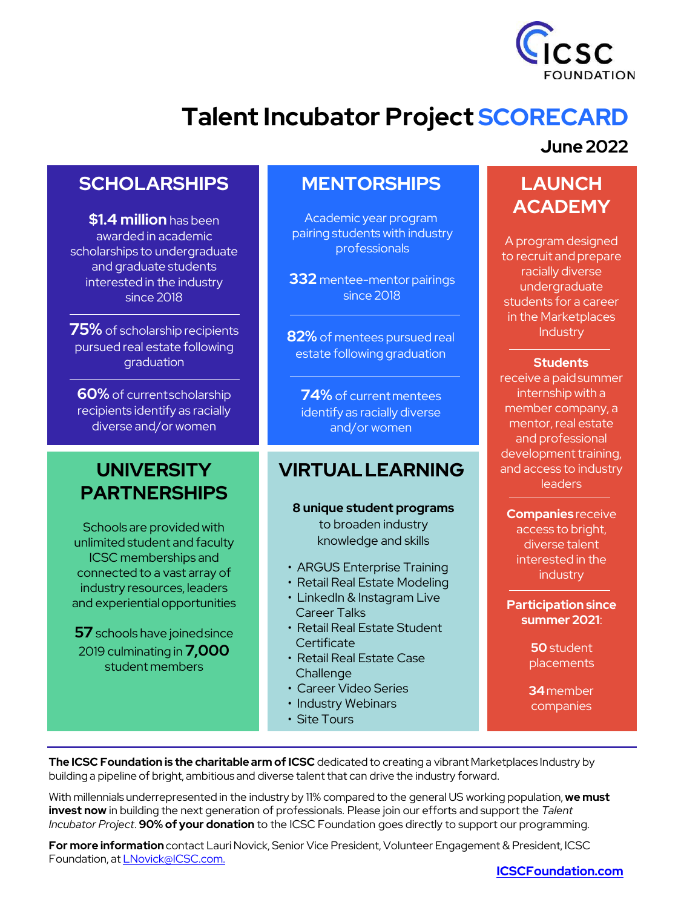

## **Talent Incubator Project SCORECARD**

## **SCHOLARSHIPS**

**\$1.4 million** has been awarded in academic scholarships to undergraduate and graduate students interested in the industry since 2018

**75%** of scholarship recipients pursued real estate following graduation

**60%** of currentscholarship recipients identify as racially diverse and/or women

## **UNIVERSITY PARTNERSHIPS**

Schools are provided with unlimited student and faculty ICSC memberships and connected to a vast array of industry resources, leaders and experientialopportunities

**57** schools have joinedsince 2019 culminating in **7,000**  student members

## **MENTORSHIPS**

Academic year program pairing students with industry professionals

**332** mentee-mentor pairings since 2018

**82%** of mentees pursued real estate following graduation

**74%** of currentmentees identify as racially diverse and/or women

## **VIRTUALLEARNING**

**8 unique student programs**  to broaden industry knowledge and skills

- ARGUS Enterprise Training
- Retail Real Estate Modeling
- LinkedIn & Instagram Live Career Talks
- Retail Real Estate Student **Certificate**
- Retail Real Estate Case **Challenge**
- Career Video Series
- Industry Webinars
- Site Tours

#### **June 2022**

## **LAUNCH ACADEMY**

A program designed to recruit and prepare racially diverse undergraduate students for a career in the Marketplaces **Industry** 

#### **Students**

receive a paidsummer internship with a member company, a mentor, real estate and professional development training, and access to industry leaders

**Companies** receive access to bright, diverse talent interested in the industry

**Participation since summer 2021**:

> **50** student placements

> **34**member companies

**The ICSC Foundation is the charitable arm of ICSC** dedicated to creating a vibrant Marketplaces Industry by building a pipeline of bright, ambitious and diverse talent that can drive the industry forward.

With millennials underrepresented in the industry by 11% compared to the general US working population, **we must invest now** in building the next generation of professionals. Please join our efforts and support the *Talent Incubator Project*. **90% of your donation** to the ICSC Foundation goes directly to support our programming.

**For more information** contact Lauri Novick, Senior Vice President, Volunteer Engagement & President, ICSC Foundation, at [LNovick@ICSC.com.](mailto:LNovick@ICSC.com)

#### **[ICSCFoundation.com](https://www.icsc.com/who-we-are/foundation)**